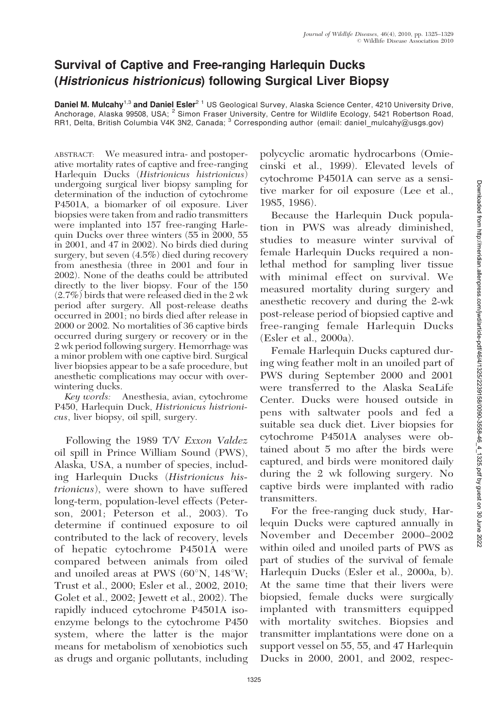## Survival of Captive and Free-ranging Harlequin Ducks (Histrionicus histrionicus) following Surgical Liver Biopsy

Daniel M. Mulcahy<sup>1,3</sup> and Daniel Esler<sup>2 1</sup> US Geological Survey, Alaska Science Center, 4210 University Drive, Anchorage, Alaska 99508, USA; <sup>2</sup> Simon Fraser University, Centre for Wildlife Ecology, 5421 Robertson Road, RR1, Delta, British Columbia V4K 3N2, Canada; <sup>3</sup> Corresponding author (email: daniel\_mulcahy@usgs.gov)

ABSTRACT: We measured intra- and postoperative mortality rates of captive and free-ranging Harlequin Ducks (Histrionicus histrionicus) undergoing surgical liver biopsy sampling for determination of the induction of cytochrome P4501A, a biomarker of oil exposure. Liver biopsies were taken from and radio transmitters were implanted into 157 free-ranging Harlequin Ducks over three winters (55 in 2000, 55 in 2001, and 47 in 2002). No birds died during surgery, but seven (4.5%) died during recovery from anesthesia (three in 2001 and four in 2002). None of the deaths could be attributed directly to the liver biopsy. Four of the 150 (2.7%) birds that were released died in the 2 wk period after surgery. All post-release deaths occurred in 2001; no birds died after release in 2000 or 2002. No mortalities of 36 captive birds occurred during surgery or recovery or in the 2 wk period following surgery. Hemorrhage was a minor problem with one captive bird. Surgical liver biopsies appear to be a safe procedure, but anesthetic complications may occur with overwintering ducks.

Key words: Anesthesia, avian, cytochrome P450, Harlequin Duck, Histrionicus histrionicus, liver biopsy, oil spill, surgery.

Following the 1989 T/V Exxon Valdez oil spill in Prince William Sound (PWS), Alaska, USA, a number of species, including Harlequin Ducks (Histrionicus histrionicus), were shown to have suffered long-term, population-level effects (Peterson, 2001; Peterson et al., 2003). To determine if continued exposure to oil contributed to the lack of recovery, levels of hepatic cytochrome P4501A were compared between animals from oiled and unoiled areas at PWS  $(60^{\circ}N, 148^{\circ}W;$ Trust et al., 2000; Esler et al., 2002, 2010; Golet et al., 2002; Jewett et al., 2002). The rapidly induced cytochrome P4501A isoenzyme belongs to the cytochrome P450 system, where the latter is the major means for metabolism of xenobiotics such as drugs and organic pollutants, including polycyclic aromatic hydrocarbons (Omiecinski et al., 1999). Elevated levels of cytochrome P4501A can serve as a sensitive marker for oil exposure (Lee et al., 1985, 1986).

Because the Harlequin Duck population in PWS was already diminished, studies to measure winter survival of female Harlequin Ducks required a nonlethal method for sampling liver tissue with minimal effect on survival. We measured mortality during surgery and anesthetic recovery and during the 2-wk post-release period of biopsied captive and free-ranging female Harlequin Ducks (Esler et al., 2000a).

Female Harlequin Ducks captured during wing feather molt in an unoiled part of PWS during September 2000 and 2001 were transferred to the Alaska SeaLife Center. Ducks were housed outside in pens with saltwater pools and fed a suitable sea duck diet. Liver biopsies for cytochrome P4501A analyses were obtained about 5 mo after the birds were captured, and birds were monitored daily during the 2 wk following surgery. No captive birds were implanted with radio transmitters.

For the free-ranging duck study, Harlequin Ducks were captured annually in November and December 2000–2002 within oiled and unoiled parts of PWS as part of studies of the survival of female Harlequin Ducks (Esler et al., 2000a, b). At the same time that their livers were biopsied, female ducks were surgically implanted with transmitters equipped with mortality switches. Biopsies and transmitter implantations were done on a support vessel on 55, 55, and 47 Harlequin Ducks in 2000, 2001, and 2002, respec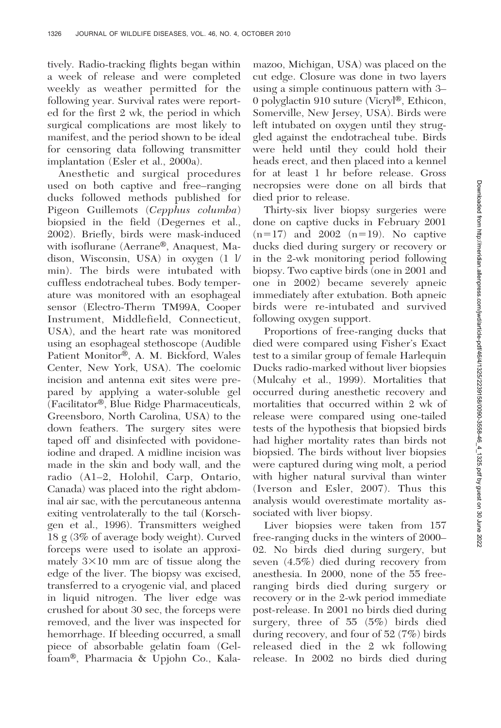tively. Radio-tracking flights began within a week of release and were completed weekly as weather permitted for the following year. Survival rates were reported for the first 2 wk, the period in which surgical complications are most likely to manifest, and the period shown to be ideal for censoring data following transmitter implantation (Esler et al., 2000a).

Anesthetic and surgical procedures used on both captive and free–ranging ducks followed methods published for Pigeon Guillemots (Cepphus columba) biopsied in the field (Degernes et al., 2002). Briefly, birds were mask-induced with isoflurane (Aerrane®, Anaquest, Madison, Wisconsin, USA) in oxygen (1 l/ min). The birds were intubated with cuffless endotracheal tubes. Body temperature was monitored with an esophageal sensor (Electro-Therm TM99A, Cooper Instrument, Middlefield, Connecticut, USA), and the heart rate was monitored using an esophageal stethoscope (Audible Patient Monitor®, A. M. Bickford, Wales Center, New York, USA). The coelomic incision and antenna exit sites were prepared by applying a water-soluble gel  $(Facilitator<sup>®</sup>, Blue Ridge Pharmaceuticals,$ Greensboro, North Carolina, USA) to the down feathers. The surgery sites were taped off and disinfected with povidoneiodine and draped. A midline incision was made in the skin and body wall, and the radio (A1–2, Holohil, Carp, Ontario, Canada) was placed into the right abdominal air sac, with the percutaneous antenna exiting ventrolaterally to the tail (Korschgen et al., 1996). Transmitters weighed 18 g (3% of average body weight). Curved forceps were used to isolate an approximately  $3\times10$  mm arc of tissue along the edge of the liver. The biopsy was excised, transferred to a cryogenic vial, and placed in liquid nitrogen. The liver edge was crushed for about 30 sec, the forceps were removed, and the liver was inspected for hemorrhage. If bleeding occurred, a small piece of absorbable gelatin foam (Gelfoam®, Pharmacia & Upjohn Co., Kalamazoo, Michigan, USA) was placed on the cut edge. Closure was done in two layers using a simple continuous pattern with 3– 0 polyglactin 910 suture (Vicryl<sup>®</sup>, Ethicon, Somerville, New Jersey, USA). Birds were left intubated on oxygen until they struggled against the endotracheal tube. Birds were held until they could hold their heads erect, and then placed into a kennel for at least 1 hr before release. Gross necropsies were done on all birds that died prior to release.

Thirty-six liver biopsy surgeries were done on captive ducks in February 2001  $(n=17)$  and 2002  $(n=19)$ . No captive ducks died during surgery or recovery or in the 2-wk monitoring period following biopsy. Two captive birds (one in 2001 and one in 2002) became severely apneic immediately after extubation. Both apneic birds were re-intubated and survived following oxygen support.

Proportions of free-ranging ducks that died were compared using Fisher's Exact test to a similar group of female Harlequin Ducks radio-marked without liver biopsies (Mulcahy et al., 1999). Mortalities that occurred during anesthetic recovery and mortalities that occurred within 2 wk of release were compared using one-tailed tests of the hypothesis that biopsied birds had higher mortality rates than birds not biopsied. The birds without liver biopsies were captured during wing molt, a period with higher natural survival than winter (Iverson and Esler, 2007). Thus this analysis would overestimate mortality associated with liver biopsy.

Liver biopsies were taken from 157 free-ranging ducks in the winters of 2000– 02. No birds died during surgery, but seven (4.5%) died during recovery from anesthesia. In 2000, none of the 55 freeranging birds died during surgery or recovery or in the 2-wk period immediate post-release. In 2001 no birds died during surgery, three of 55 (5%) birds died during recovery, and four of 52 (7%) birds released died in the 2 wk following release. In 2002 no birds died during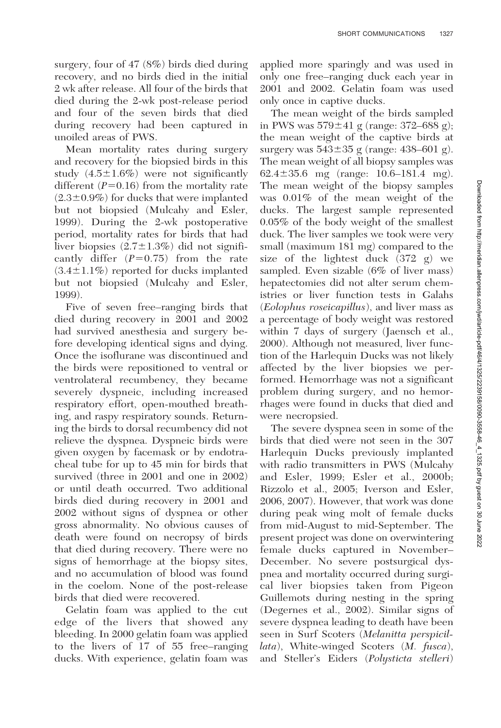surgery, four of 47 (8%) birds died during recovery, and no birds died in the initial 2 wk after release. All four of the birds that died during the 2-wk post-release period and four of the seven birds that died during recovery had been captured in unoiled areas of PWS.

Mean mortality rates during surgery and recovery for the biopsied birds in this study  $(4.5 \pm 1.6\%)$  were not significantly different  $(P=0.16)$  from the mortality rate  $(2.3\pm0.9\%)$  for ducks that were implanted but not biopsied (Mulcahy and Esler, 1999). During the 2-wk postoperative period, mortality rates for birds that had liver biopsies  $(2.7 \pm 1.3\%)$  did not significantly differ  $(P=0.75)$  from the rate  $(3.4\pm1.1\%)$  reported for ducks implanted but not biopsied (Mulcahy and Esler, 1999).

Five of seven free–ranging birds that died during recovery in 2001 and 2002 had survived anesthesia and surgery before developing identical signs and dying. Once the isoflurane was discontinued and the birds were repositioned to ventral or ventrolateral recumbency, they became severely dyspneic, including increased respiratory effort, open-mouthed breathing, and raspy respiratory sounds. Returning the birds to dorsal recumbency did not relieve the dyspnea. Dyspneic birds were given oxygen by facemask or by endotracheal tube for up to 45 min for birds that survived (three in 2001 and one in 2002) or until death occurred. Two additional birds died during recovery in 2001 and 2002 without signs of dyspnea or other gross abnormality. No obvious causes of death were found on necropsy of birds that died during recovery. There were no signs of hemorrhage at the biopsy sites, and no accumulation of blood was found in the coelom. None of the post-release birds that died were recovered.

Gelatin foam was applied to the cut edge of the livers that showed any bleeding. In 2000 gelatin foam was applied to the livers of 17 of 55 free–ranging ducks. With experience, gelatin foam was

applied more sparingly and was used in only one free–ranging duck each year in 2001 and 2002. Gelatin foam was used only once in captive ducks.

The mean weight of the birds sampled in PWS was  $579 \pm 41$  g (range: 372–688 g); the mean weight of the captive birds at surgery was  $543\pm35$  g (range:  $438-601$  g). The mean weight of all biopsy samples was 62.4 $\pm$ 35.6 mg (range: 10.6–181.4 mg). The mean weight of the biopsy samples was 0.01% of the mean weight of the ducks. The largest sample represented 0.05% of the body weight of the smallest duck. The liver samples we took were very small (maximum 181 mg) compared to the size of the lightest duck (372 g) we sampled. Even sizable (6% of liver mass) hepatectomies did not alter serum chemistries or liver function tests in Galahs (Eolophus roseicapillus), and liver mass as a percentage of body weight was restored within 7 days of surgery (Jaensch et al., 2000). Although not measured, liver function of the Harlequin Ducks was not likely affected by the liver biopsies we performed. Hemorrhage was not a significant problem during surgery, and no hemorrhages were found in ducks that died and were necropsied.

The severe dyspnea seen in some of the birds that died were not seen in the 307 Harlequin Ducks previously implanted with radio transmitters in PWS (Mulcahy and Esler, 1999; Esler et al., 2000b; Rizzolo et al., 2005; Iverson and Esler, 2006, 2007). However, that work was done during peak wing molt of female ducks from mid-August to mid-September. The present project was done on overwintering female ducks captured in November– December. No severe postsurgical dyspnea and mortality occurred during surgical liver biopsies taken from Pigeon Guillemots during nesting in the spring (Degernes et al., 2002). Similar signs of severe dyspnea leading to death have been seen in Surf Scoters (Melanitta perspicillata), White-winged Scoters (M. fusca), and Steller's Eiders (Polysticta stelleri)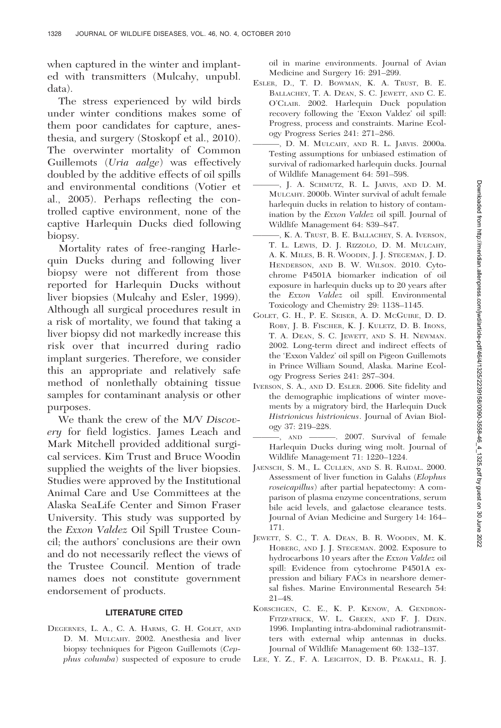when captured in the winter and implanted with transmitters (Mulcahy, unpubl. data).

The stress experienced by wild birds under winter conditions makes some of them poor candidates for capture, anesthesia, and surgery (Stoskopf et al., 2010). The overwinter mortality of Common Guillemots (Uria aalge) was effectively doubled by the additive effects of oil spills and environmental conditions (Votier et al., 2005). Perhaps reflecting the controlled captive environment, none of the captive Harlequin Ducks died following biopsy.

Mortality rates of free-ranging Harlequin Ducks during and following liver biopsy were not different from those reported for Harlequin Ducks without liver biopsies (Mulcahy and Esler, 1999). Although all surgical procedures result in a risk of mortality, we found that taking a liver biopsy did not markedly increase this risk over that incurred during radio implant surgeries. Therefore, we consider this an appropriate and relatively safe method of nonlethally obtaining tissue samples for contaminant analysis or other purposes.

We thank the crew of the M/V Discovery for field logistics. James Leach and Mark Mitchell provided additional surgical services. Kim Trust and Bruce Woodin supplied the weights of the liver biopsies. Studies were approved by the Institutional Animal Care and Use Committees at the Alaska SeaLife Center and Simon Fraser University. This study was supported by the Exxon Valdez Oil Spill Trustee Council; the authors' conclusions are their own and do not necessarily reflect the views of the Trustee Council. Mention of trade names does not constitute government endorsement of products.

## LITERATURE CITED

DEGERNES, L. A., C. A. HARMS, G. H. GOLET, AND D. M. MULCAHY. 2002. Anesthesia and liver biopsy techniques for Pigeon Guillemots (Cepphus columba) suspected of exposure to crude oil in marine environments. Journal of Avian Medicine and Surgery 16: 291–299.

- ESLER, D., T. D. BOWMAN, K. A. TRUST, B. E. BALLACHEY, T. A. DEAN, S. C. JEWETT, AND C. E. O'CLAIR. 2002. Harlequin Duck population recovery following the 'Exxon Valdez' oil spill: Progress, process and constraints. Marine Ecology Progress Series 241: 271–286.
- ———, D. M. MULCAHY, AND R. L. JARVIS. 2000a. Testing assumptions for unbiased estimation of survival of radiomarked harlequin ducks. Journal of Wildlife Management 64: 591–598.
- ———, J. A. SCHMUTZ, R. L. JARVIS, AND D. M. MULCAHY. 2000b. Winter survival of adult female harlequin ducks in relation to history of contamination by the Exxon Valdez oil spill. Journal of Wildlife Management 64: 839–847.
- ———, K. A. TRUST, B. E. BALLACHEY, S. A. IVERSON, T. L. LEWIS, D. J. RIZZOLO, D. M. MULCAHY, A. K. MILES, B. R. WOODIN, J. J. STEGEMAN, J. D. HENDERSON, AND B. W. WILSON. 2010. Cytochrome P4501A biomarker indication of oil exposure in harlequin ducks up to 20 years after the Exxon Valdez oil spill. Environmental Toxicology and Chemistry 29: 1138–1145.
- GOLET, G. H., P. E. SEISER, A. D. MCGUIRE, D. D. ROBY, J. B. FISCHER, K. J. KULETZ, D. B. IRONS, T. A. DEAN, S. C. JEWETT, AND S. H. NEWMAN. 2002. Long-term direct and indirect effects of the 'Exxon Valdez' oil spill on Pigeon Guillemots in Prince William Sound, Alaska. Marine Ecology Progress Series 241: 287–304.
- IVERSON, S. A., AND D. ESLER. 2006. Site fidelity and the demographic implications of winter movements by a migratory bird, the Harlequin Duck Histrionicus histrionicus. Journal of Avian Biology 37: 219–228.
	- ———, AND ———. 2007. Survival of female Harlequin Ducks during wing molt. Journal of Wildlife Management 71: 1220–1224.
- JAENSCH, S. M., L. CULLEN, AND S. R. RAIDAL. 2000. Assessment of liver function in Galahs (Elophus roseicapillus) after partial hepatectomy: A comparison of plasma enzyme concentrations, serum bile acid levels, and galactose clearance tests. Journal of Avian Medicine and Surgery 14: 164– 171.
- JEWETT, S. C., T. A. DEAN, B. R. WOODIN, M. K. HOBERG, AND J. J. STEGEMAN. 2002. Exposure to hydrocarbons 10 years after the Exxon Valdez oil spill: Evidence from cytochrome P4501A expression and biliary FACs in nearshore demersal fishes. Marine Environmental Research 54: 21–48.
- KORSCHGEN, C. E., K. P. KENOW, A. GENDRON-FITZPATRICK, W. L. GREEN, AND F. J. DEIN. 1996. Implanting intra-abdominal radiotransmitters with external whip antennas in ducks. Journal of Wildlife Management 60: 132–137.
- LEE, Y. Z., F. A. LEIGHTON, D. B. PEAKALL, R. J.